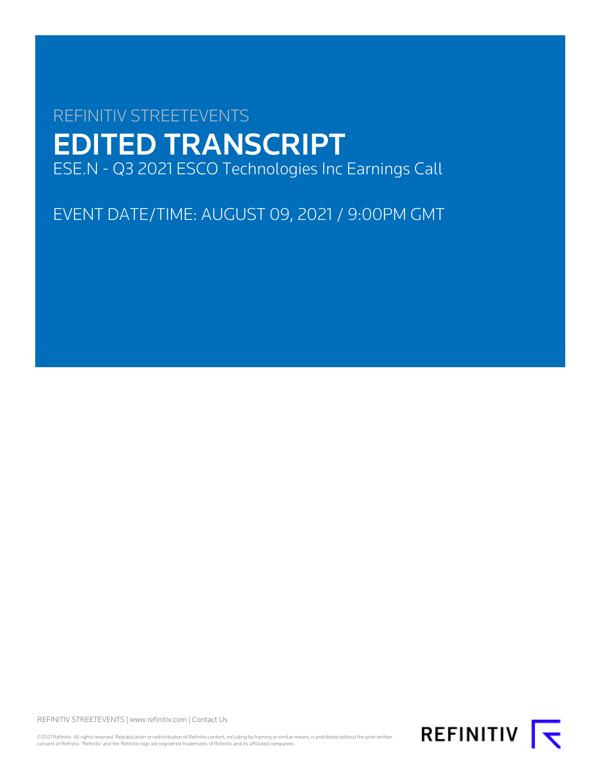# REFINITIV STREETEVENTS EDITED TRANSCRIPT ESE.N - Q3 2021 ESCO Technologies Inc Earnings Call

EVENT DATE/TIME: AUGUST 09, 2021 / 9:00PM GMT

REFINITIV STREETEVENTS | [www.refinitiv.com](https://www.refinitiv.com/) | [Contact Us](https://www.refinitiv.com/en/contact-us)

©2021 Refinitiv. All rights reserved. Republication or redistribution of Refinitiv content, including by framing or similar means, is prohibited without the prior written consent of Refinitiv. 'Refinitiv' and the Refinitiv logo are registered trademarks of Refinitiv and its affiliated companies.

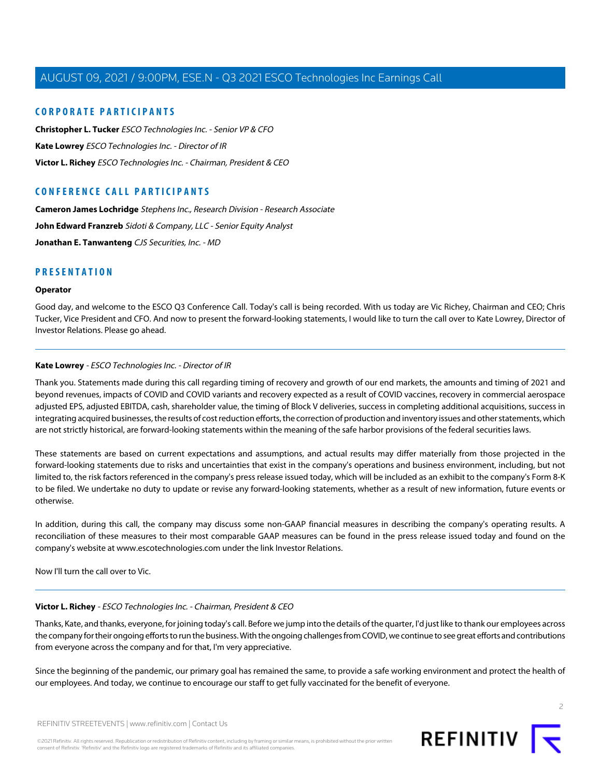### **CORPORATE PARTICIPANTS**

**[Christopher L. Tucker](#page-3-0)** ESCO Technologies Inc. - Senior VP & CFO **[Kate Lowrey](#page-1-0)** ESCO Technologies Inc. - Director of IR **[Victor L. Richey](#page-1-1)** ESCO Technologies Inc. - Chairman, President & CEO

### **CONFERENCE CALL PARTICIPANTS**

**[Cameron James Lochridge](#page-5-0)** Stephens Inc., Research Division - Research Associate [John Edward Franzreb](#page-6-0) Sidoti & Company, LLC - Senior Equity Analyst **[Jonathan E. Tanwanteng](#page-8-0)** CJS Securities, Inc. - MD

### **PRESENTATION**

### **Operator**

<span id="page-1-0"></span>Good day, and welcome to the ESCO Q3 Conference Call. Today's call is being recorded. With us today are Vic Richey, Chairman and CEO; Chris Tucker, Vice President and CFO. And now to present the forward-looking statements, I would like to turn the call over to Kate Lowrey, Director of Investor Relations. Please go ahead.

### **Kate Lowrey** - ESCO Technologies Inc. - Director of IR

Thank you. Statements made during this call regarding timing of recovery and growth of our end markets, the amounts and timing of 2021 and beyond revenues, impacts of COVID and COVID variants and recovery expected as a result of COVID vaccines, recovery in commercial aerospace adjusted EPS, adjusted EBITDA, cash, shareholder value, the timing of Block V deliveries, success in completing additional acquisitions, success in integrating acquired businesses, the results of cost reduction efforts, the correction of production and inventory issues and other statements, which are not strictly historical, are forward-looking statements within the meaning of the safe harbor provisions of the federal securities laws.

These statements are based on current expectations and assumptions, and actual results may differ materially from those projected in the forward-looking statements due to risks and uncertainties that exist in the company's operations and business environment, including, but not limited to, the risk factors referenced in the company's press release issued today, which will be included as an exhibit to the company's Form 8-K to be filed. We undertake no duty to update or revise any forward-looking statements, whether as a result of new information, future events or otherwise.

<span id="page-1-1"></span>In addition, during this call, the company may discuss some non-GAAP financial measures in describing the company's operating results. A reconciliation of these measures to their most comparable GAAP measures can be found in the press release issued today and found on the company's website at www.escotechnologies.com under the link Investor Relations.

Now I'll turn the call over to Vic.

### **Victor L. Richey** - ESCO Technologies Inc. - Chairman, President & CEO

Thanks, Kate, and thanks, everyone, for joining today's call. Before we jump into the details of the quarter, I'd just like to thank our employees across the company for their ongoing efforts to run the business. With the ongoing challenges from COVID, we continue to see great efforts and contributions from everyone across the company and for that, I'm very appreciative.

Since the beginning of the pandemic, our primary goal has remained the same, to provide a safe working environment and protect the health of our employees. And today, we continue to encourage our staff to get fully vaccinated for the benefit of everyone.



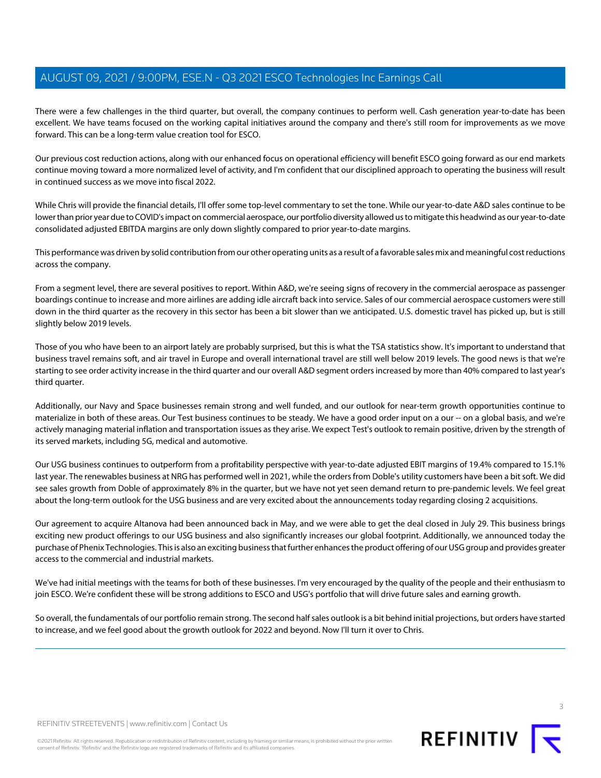There were a few challenges in the third quarter, but overall, the company continues to perform well. Cash generation year-to-date has been excellent. We have teams focused on the working capital initiatives around the company and there's still room for improvements as we move forward. This can be a long-term value creation tool for ESCO.

Our previous cost reduction actions, along with our enhanced focus on operational efficiency will benefit ESCO going forward as our end markets continue moving toward a more normalized level of activity, and I'm confident that our disciplined approach to operating the business will result in continued success as we move into fiscal 2022.

While Chris will provide the financial details, I'll offer some top-level commentary to set the tone. While our year-to-date A&D sales continue to be lower than prior year due to COVID's impact on commercial aerospace, our portfolio diversity allowed us to mitigate this headwind as our year-to-date consolidated adjusted EBITDA margins are only down slightly compared to prior year-to-date margins.

This performance was driven by solid contribution from our other operating units as a result of a favorable sales mix and meaningful cost reductions across the company.

From a segment level, there are several positives to report. Within A&D, we're seeing signs of recovery in the commercial aerospace as passenger boardings continue to increase and more airlines are adding idle aircraft back into service. Sales of our commercial aerospace customers were still down in the third quarter as the recovery in this sector has been a bit slower than we anticipated. U.S. domestic travel has picked up, but is still slightly below 2019 levels.

Those of you who have been to an airport lately are probably surprised, but this is what the TSA statistics show. It's important to understand that business travel remains soft, and air travel in Europe and overall international travel are still well below 2019 levels. The good news is that we're starting to see order activity increase in the third quarter and our overall A&D segment orders increased by more than 40% compared to last year's third quarter.

Additionally, our Navy and Space businesses remain strong and well funded, and our outlook for near-term growth opportunities continue to materialize in both of these areas. Our Test business continues to be steady. We have a good order input on a our -- on a global basis, and we're actively managing material inflation and transportation issues as they arise. We expect Test's outlook to remain positive, driven by the strength of its served markets, including 5G, medical and automotive.

Our USG business continues to outperform from a profitability perspective with year-to-date adjusted EBIT margins of 19.4% compared to 15.1% last year. The renewables business at NRG has performed well in 2021, while the orders from Doble's utility customers have been a bit soft. We did see sales growth from Doble of approximately 8% in the quarter, but we have not yet seen demand return to pre-pandemic levels. We feel great about the long-term outlook for the USG business and are very excited about the announcements today regarding closing 2 acquisitions.

Our agreement to acquire Altanova had been announced back in May, and we were able to get the deal closed in July 29. This business brings exciting new product offerings to our USG business and also significantly increases our global footprint. Additionally, we announced today the purchase of Phenix Technologies. This is also an exciting business that further enhances the product offering of our USG group and provides greater access to the commercial and industrial markets.

We've had initial meetings with the teams for both of these businesses. I'm very encouraged by the quality of the people and their enthusiasm to join ESCO. We're confident these will be strong additions to ESCO and USG's portfolio that will drive future sales and earning growth.

So overall, the fundamentals of our portfolio remain strong. The second half sales outlook is a bit behind initial projections, but orders have started to increase, and we feel good about the growth outlook for 2022 and beyond. Now I'll turn it over to Chris.



REFINITIV STREETEVENTS | [www.refinitiv.com](https://www.refinitiv.com/) | [Contact Us](https://www.refinitiv.com/en/contact-us)

©2021 Refinitiv. All rights reserved. Republication or redistribution of Refinitiv content, including by framing or similar means, is prohibited without the prior written consent of Refinitiv. 'Refinitiv' and the Refinitiv logo are registered trademarks of Refinitiv and its affiliated companies.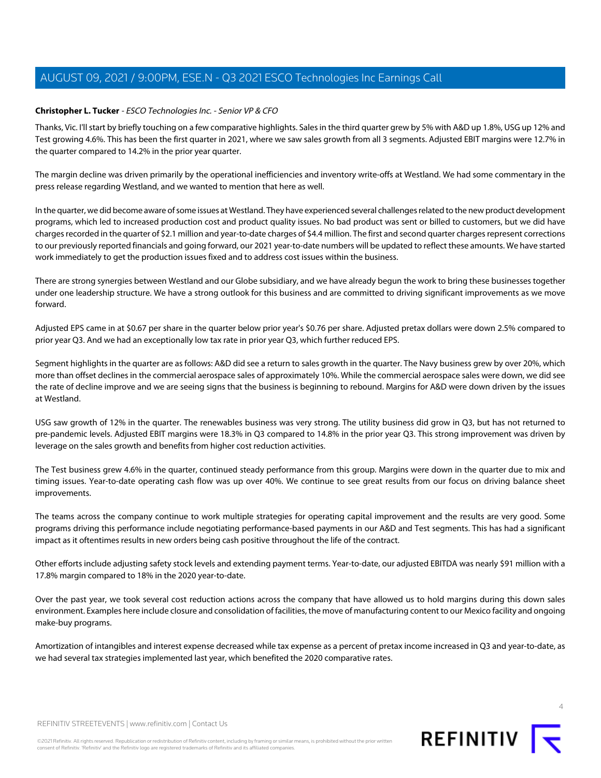### <span id="page-3-0"></span>**Christopher L. Tucker** - ESCO Technologies Inc. - Senior VP & CFO

Thanks, Vic. I'll start by briefly touching on a few comparative highlights. Sales in the third quarter grew by 5% with A&D up 1.8%, USG up 12% and Test growing 4.6%. This has been the first quarter in 2021, where we saw sales growth from all 3 segments. Adjusted EBIT margins were 12.7% in the quarter compared to 14.2% in the prior year quarter.

The margin decline was driven primarily by the operational inefficiencies and inventory write-offs at Westland. We had some commentary in the press release regarding Westland, and we wanted to mention that here as well.

In the quarter, we did become aware of some issues at Westland. They have experienced several challenges related to the new product development programs, which led to increased production cost and product quality issues. No bad product was sent or billed to customers, but we did have charges recorded in the quarter of \$2.1 million and year-to-date charges of \$4.4 million. The first and second quarter charges represent corrections to our previously reported financials and going forward, our 2021 year-to-date numbers will be updated to reflect these amounts. We have started work immediately to get the production issues fixed and to address cost issues within the business.

There are strong synergies between Westland and our Globe subsidiary, and we have already begun the work to bring these businesses together under one leadership structure. We have a strong outlook for this business and are committed to driving significant improvements as we move forward.

Adjusted EPS came in at \$0.67 per share in the quarter below prior year's \$0.76 per share. Adjusted pretax dollars were down 2.5% compared to prior year Q3. And we had an exceptionally low tax rate in prior year Q3, which further reduced EPS.

Segment highlights in the quarter are as follows: A&D did see a return to sales growth in the quarter. The Navy business grew by over 20%, which more than offset declines in the commercial aerospace sales of approximately 10%. While the commercial aerospace sales were down, we did see the rate of decline improve and we are seeing signs that the business is beginning to rebound. Margins for A&D were down driven by the issues at Westland.

USG saw growth of 12% in the quarter. The renewables business was very strong. The utility business did grow in Q3, but has not returned to pre-pandemic levels. Adjusted EBIT margins were 18.3% in Q3 compared to 14.8% in the prior year Q3. This strong improvement was driven by leverage on the sales growth and benefits from higher cost reduction activities.

The Test business grew 4.6% in the quarter, continued steady performance from this group. Margins were down in the quarter due to mix and timing issues. Year-to-date operating cash flow was up over 40%. We continue to see great results from our focus on driving balance sheet improvements.

The teams across the company continue to work multiple strategies for operating capital improvement and the results are very good. Some programs driving this performance include negotiating performance-based payments in our A&D and Test segments. This has had a significant impact as it oftentimes results in new orders being cash positive throughout the life of the contract.

Other efforts include adjusting safety stock levels and extending payment terms. Year-to-date, our adjusted EBITDA was nearly \$91 million with a 17.8% margin compared to 18% in the 2020 year-to-date.

Over the past year, we took several cost reduction actions across the company that have allowed us to hold margins during this down sales environment. Examples here include closure and consolidation of facilities, the move of manufacturing content to our Mexico facility and ongoing make-buy programs.

Amortization of intangibles and interest expense decreased while tax expense as a percent of pretax income increased in Q3 and year-to-date, as we had several tax strategies implemented last year, which benefited the 2020 comparative rates.



REFINITIV STREETEVENTS | [www.refinitiv.com](https://www.refinitiv.com/) | [Contact Us](https://www.refinitiv.com/en/contact-us)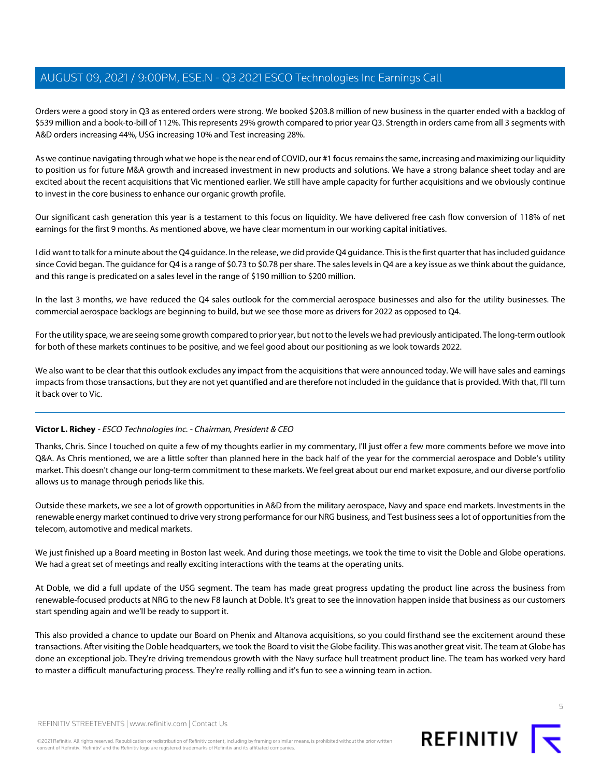Orders were a good story in Q3 as entered orders were strong. We booked \$203.8 million of new business in the quarter ended with a backlog of \$539 million and a book-to-bill of 112%. This represents 29% growth compared to prior year Q3. Strength in orders came from all 3 segments with A&D orders increasing 44%, USG increasing 10% and Test increasing 28%.

As we continue navigating through what we hope is the near end of COVID, our #1 focus remains the same, increasing and maximizing our liquidity to position us for future M&A growth and increased investment in new products and solutions. We have a strong balance sheet today and are excited about the recent acquisitions that Vic mentioned earlier. We still have ample capacity for further acquisitions and we obviously continue to invest in the core business to enhance our organic growth profile.

Our significant cash generation this year is a testament to this focus on liquidity. We have delivered free cash flow conversion of 118% of net earnings for the first 9 months. As mentioned above, we have clear momentum in our working capital initiatives.

I did want to talk for a minute about the Q4 guidance. In the release, we did provide Q4 guidance. This is the first quarter that has included guidance since Covid began. The guidance for Q4 is a range of \$0.73 to \$0.78 per share. The sales levels in Q4 are a key issue as we think about the guidance, and this range is predicated on a sales level in the range of \$190 million to \$200 million.

In the last 3 months, we have reduced the Q4 sales outlook for the commercial aerospace businesses and also for the utility businesses. The commercial aerospace backlogs are beginning to build, but we see those more as drivers for 2022 as opposed to Q4.

For the utility space, we are seeing some growth compared to prior year, but not to the levels we had previously anticipated. The long-term outlook for both of these markets continues to be positive, and we feel good about our positioning as we look towards 2022.

We also want to be clear that this outlook excludes any impact from the acquisitions that were announced today. We will have sales and earnings impacts from those transactions, but they are not yet quantified and are therefore not included in the guidance that is provided. With that, I'll turn it back over to Vic.

### **Victor L. Richey** - ESCO Technologies Inc. - Chairman, President & CEO

Thanks, Chris. Since I touched on quite a few of my thoughts earlier in my commentary, I'll just offer a few more comments before we move into Q&A. As Chris mentioned, we are a little softer than planned here in the back half of the year for the commercial aerospace and Doble's utility market. This doesn't change our long-term commitment to these markets. We feel great about our end market exposure, and our diverse portfolio allows us to manage through periods like this.

Outside these markets, we see a lot of growth opportunities in A&D from the military aerospace, Navy and space end markets. Investments in the renewable energy market continued to drive very strong performance for our NRG business, and Test business sees a lot of opportunities from the telecom, automotive and medical markets.

We just finished up a Board meeting in Boston last week. And during those meetings, we took the time to visit the Doble and Globe operations. We had a great set of meetings and really exciting interactions with the teams at the operating units.

At Doble, we did a full update of the USG segment. The team has made great progress updating the product line across the business from renewable-focused products at NRG to the new F8 launch at Doble. It's great to see the innovation happen inside that business as our customers start spending again and we'll be ready to support it.

This also provided a chance to update our Board on Phenix and Altanova acquisitions, so you could firsthand see the excitement around these transactions. After visiting the Doble headquarters, we took the Board to visit the Globe facility. This was another great visit. The team at Globe has done an exceptional job. They're driving tremendous growth with the Navy surface hull treatment product line. The team has worked very hard to master a difficult manufacturing process. They're really rolling and it's fun to see a winning team in action.

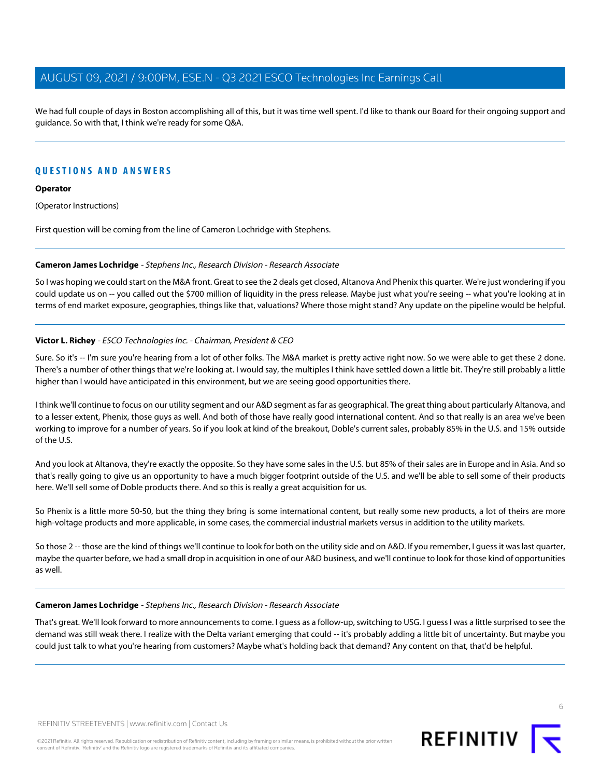We had full couple of days in Boston accomplishing all of this, but it was time well spent. I'd like to thank our Board for their ongoing support and guidance. So with that, I think we're ready for some Q&A.

### **QUESTIONS AND ANSWERS**

### **Operator**

(Operator Instructions)

<span id="page-5-0"></span>First question will be coming from the line of Cameron Lochridge with Stephens.

### **Cameron James Lochridge** - Stephens Inc., Research Division - Research Associate

So I was hoping we could start on the M&A front. Great to see the 2 deals get closed, Altanova And Phenix this quarter. We're just wondering if you could update us on -- you called out the \$700 million of liquidity in the press release. Maybe just what you're seeing -- what you're looking at in terms of end market exposure, geographies, things like that, valuations? Where those might stand? Any update on the pipeline would be helpful.

### **Victor L. Richey** - ESCO Technologies Inc. - Chairman, President & CEO

Sure. So it's -- I'm sure you're hearing from a lot of other folks. The M&A market is pretty active right now. So we were able to get these 2 done. There's a number of other things that we're looking at. I would say, the multiples I think have settled down a little bit. They're still probably a little higher than I would have anticipated in this environment, but we are seeing good opportunities there.

I think we'll continue to focus on our utility segment and our A&D segment as far as geographical. The great thing about particularly Altanova, and to a lesser extent, Phenix, those guys as well. And both of those have really good international content. And so that really is an area we've been working to improve for a number of years. So if you look at kind of the breakout, Doble's current sales, probably 85% in the U.S. and 15% outside of the U.S.

And you look at Altanova, they're exactly the opposite. So they have some sales in the U.S. but 85% of their sales are in Europe and in Asia. And so that's really going to give us an opportunity to have a much bigger footprint outside of the U.S. and we'll be able to sell some of their products here. We'll sell some of Doble products there. And so this is really a great acquisition for us.

So Phenix is a little more 50-50, but the thing they bring is some international content, but really some new products, a lot of theirs are more high-voltage products and more applicable, in some cases, the commercial industrial markets versus in addition to the utility markets.

So those 2 -- those are the kind of things we'll continue to look for both on the utility side and on A&D. If you remember, I guess it was last quarter, maybe the quarter before, we had a small drop in acquisition in one of our A&D business, and we'll continue to look for those kind of opportunities as well.

### **Cameron James Lochridge** - Stephens Inc., Research Division - Research Associate

That's great. We'll look forward to more announcements to come. I guess as a follow-up, switching to USG. I guess I was a little surprised to see the demand was still weak there. I realize with the Delta variant emerging that could -- it's probably adding a little bit of uncertainty. But maybe you could just talk to what you're hearing from customers? Maybe what's holding back that demand? Any content on that, that'd be helpful.

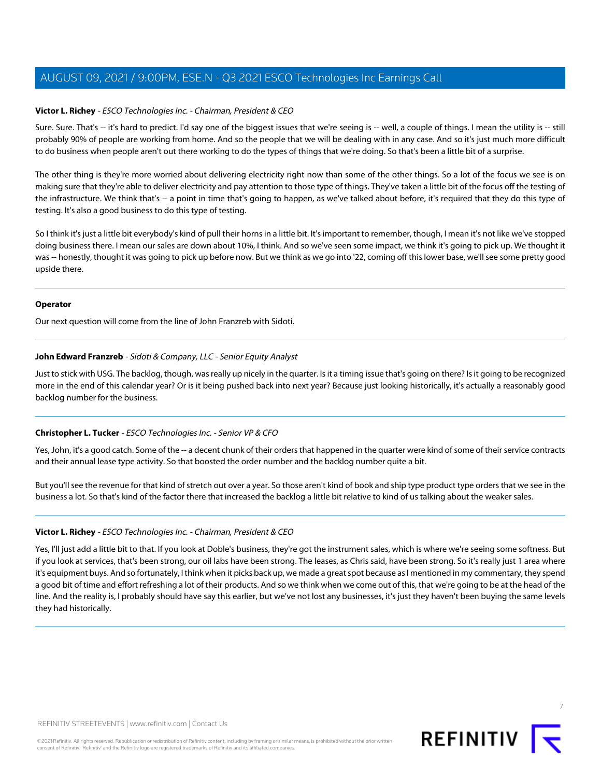### **Victor L. Richey** - ESCO Technologies Inc. - Chairman, President & CEO

Sure. Sure. That's -- it's hard to predict. I'd say one of the biggest issues that we're seeing is -- well, a couple of things. I mean the utility is -- still probably 90% of people are working from home. And so the people that we will be dealing with in any case. And so it's just much more difficult to do business when people aren't out there working to do the types of things that we're doing. So that's been a little bit of a surprise.

The other thing is they're more worried about delivering electricity right now than some of the other things. So a lot of the focus we see is on making sure that they're able to deliver electricity and pay attention to those type of things. They've taken a little bit of the focus off the testing of the infrastructure. We think that's -- a point in time that's going to happen, as we've talked about before, it's required that they do this type of testing. It's also a good business to do this type of testing.

So I think it's just a little bit everybody's kind of pull their horns in a little bit. It's important to remember, though, I mean it's not like we've stopped doing business there. I mean our sales are down about 10%, I think. And so we've seen some impact, we think it's going to pick up. We thought it was -- honestly, thought it was going to pick up before now. But we think as we go into '22, coming off this lower base, we'll see some pretty good upside there.

### **Operator**

<span id="page-6-0"></span>Our next question will come from the line of John Franzreb with Sidoti.

### **John Edward Franzreb** - Sidoti & Company, LLC - Senior Equity Analyst

Just to stick with USG. The backlog, though, was really up nicely in the quarter. Is it a timing issue that's going on there? Is it going to be recognized more in the end of this calendar year? Or is it being pushed back into next year? Because just looking historically, it's actually a reasonably good backlog number for the business.

### **Christopher L. Tucker** - ESCO Technologies Inc. - Senior VP & CFO

Yes, John, it's a good catch. Some of the -- a decent chunk of their orders that happened in the quarter were kind of some of their service contracts and their annual lease type activity. So that boosted the order number and the backlog number quite a bit.

But you'll see the revenue for that kind of stretch out over a year. So those aren't kind of book and ship type product type orders that we see in the business a lot. So that's kind of the factor there that increased the backlog a little bit relative to kind of us talking about the weaker sales.

### **Victor L. Richey** - ESCO Technologies Inc. - Chairman, President & CEO

Yes, I'll just add a little bit to that. If you look at Doble's business, they're got the instrument sales, which is where we're seeing some softness. But if you look at services, that's been strong, our oil labs have been strong. The leases, as Chris said, have been strong. So it's really just 1 area where it's equipment buys. And so fortunately, I think when it picks back up, we made a great spot because as I mentioned in my commentary, they spend a good bit of time and effort refreshing a lot of their products. And so we think when we come out of this, that we're going to be at the head of the line. And the reality is, I probably should have say this earlier, but we've not lost any businesses, it's just they haven't been buying the same levels they had historically.



7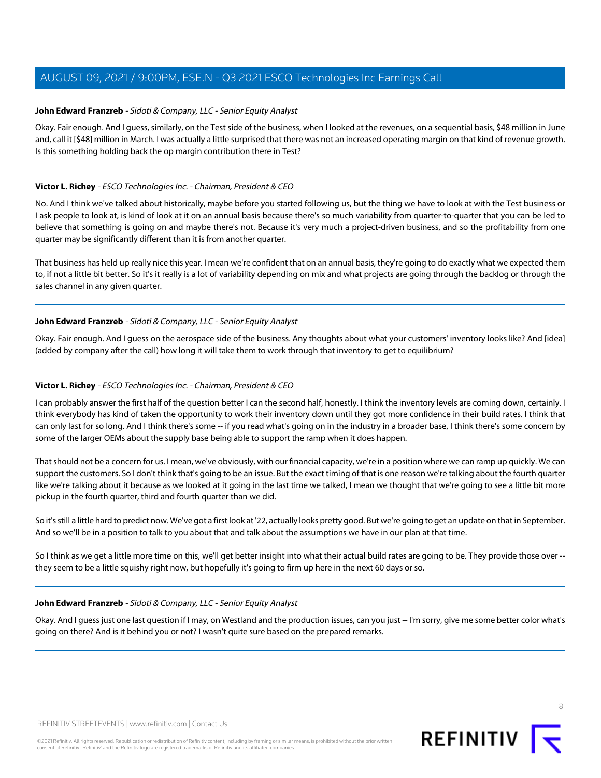### **John Edward Franzreb** - Sidoti & Company, LLC - Senior Equity Analyst

Okay. Fair enough. And I guess, similarly, on the Test side of the business, when I looked at the revenues, on a sequential basis, \$48 million in June and, call it [\$48] million in March. I was actually a little surprised that there was not an increased operating margin on that kind of revenue growth. Is this something holding back the op margin contribution there in Test?

### **Victor L. Richey** - ESCO Technologies Inc. - Chairman, President & CEO

No. And I think we've talked about historically, maybe before you started following us, but the thing we have to look at with the Test business or I ask people to look at, is kind of look at it on an annual basis because there's so much variability from quarter-to-quarter that you can be led to believe that something is going on and maybe there's not. Because it's very much a project-driven business, and so the profitability from one quarter may be significantly different than it is from another quarter.

That business has held up really nice this year. I mean we're confident that on an annual basis, they're going to do exactly what we expected them to, if not a little bit better. So it's it really is a lot of variability depending on mix and what projects are going through the backlog or through the sales channel in any given quarter.

### **John Edward Franzreb** - Sidoti & Company, LLC - Senior Equity Analyst

Okay. Fair enough. And I guess on the aerospace side of the business. Any thoughts about what your customers' inventory looks like? And [idea] (added by company after the call) how long it will take them to work through that inventory to get to equilibrium?

### **Victor L. Richey** - ESCO Technologies Inc. - Chairman, President & CEO

I can probably answer the first half of the question better I can the second half, honestly. I think the inventory levels are coming down, certainly. I think everybody has kind of taken the opportunity to work their inventory down until they got more confidence in their build rates. I think that can only last for so long. And I think there's some -- if you read what's going on in the industry in a broader base, I think there's some concern by some of the larger OEMs about the supply base being able to support the ramp when it does happen.

That should not be a concern for us. I mean, we've obviously, with our financial capacity, we're in a position where we can ramp up quickly. We can support the customers. So I don't think that's going to be an issue. But the exact timing of that is one reason we're talking about the fourth quarter like we're talking about it because as we looked at it going in the last time we talked, I mean we thought that we're going to see a little bit more pickup in the fourth quarter, third and fourth quarter than we did.

So it's still a little hard to predict now. We've got a first look at '22, actually looks pretty good. But we're going to get an update on that in September. And so we'll be in a position to talk to you about that and talk about the assumptions we have in our plan at that time.

So I think as we get a little more time on this, we'll get better insight into what their actual build rates are going to be. They provide those over -they seem to be a little squishy right now, but hopefully it's going to firm up here in the next 60 days or so.

### **John Edward Franzreb** - Sidoti & Company, LLC - Senior Equity Analyst

Okay. And I guess just one last question if I may, on Westland and the production issues, can you just -- I'm sorry, give me some better color what's going on there? And is it behind you or not? I wasn't quite sure based on the prepared remarks.

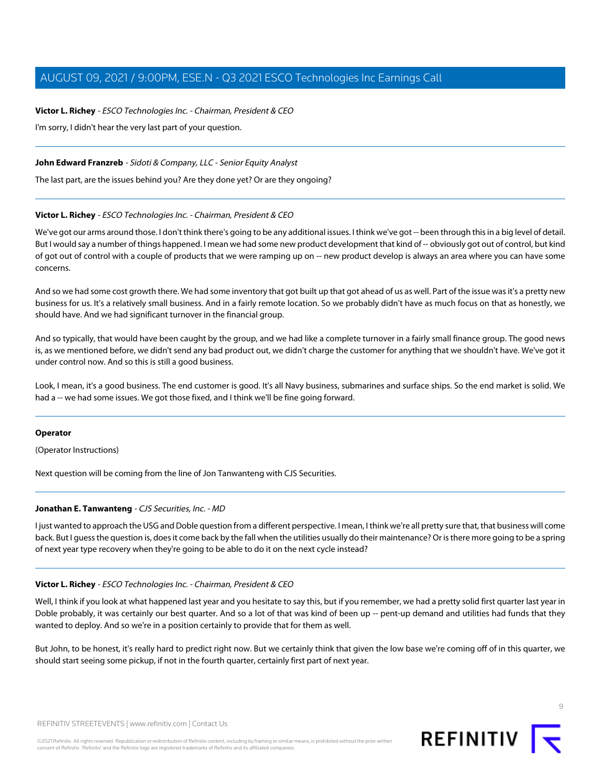**Victor L. Richey** - ESCO Technologies Inc. - Chairman, President & CEO I'm sorry, I didn't hear the very last part of your question.

### **John Edward Franzreb** - Sidoti & Company, LLC - Senior Equity Analyst

The last part, are the issues behind you? Are they done yet? Or are they ongoing?

### **Victor L. Richey** - ESCO Technologies Inc. - Chairman, President & CEO

We've got our arms around those. I don't think there's going to be any additional issues. I think we've got -- been through this in a big level of detail. But I would say a number of things happened. I mean we had some new product development that kind of -- obviously got out of control, but kind of got out of control with a couple of products that we were ramping up on -- new product develop is always an area where you can have some concerns.

And so we had some cost growth there. We had some inventory that got built up that got ahead of us as well. Part of the issue was it's a pretty new business for us. It's a relatively small business. And in a fairly remote location. So we probably didn't have as much focus on that as honestly, we should have. And we had significant turnover in the financial group.

And so typically, that would have been caught by the group, and we had like a complete turnover in a fairly small finance group. The good news is, as we mentioned before, we didn't send any bad product out, we didn't charge the customer for anything that we shouldn't have. We've got it under control now. And so this is still a good business.

Look, I mean, it's a good business. The end customer is good. It's all Navy business, submarines and surface ships. So the end market is solid. We had a -- we had some issues. We got those fixed, and I think we'll be fine going forward.

### **Operator**

<span id="page-8-0"></span>(Operator Instructions)

Next question will be coming from the line of Jon Tanwanteng with CJS Securities.

### **Jonathan E. Tanwanteng** - CJS Securities, Inc. - MD

I just wanted to approach the USG and Doble question from a different perspective. I mean, I think we're all pretty sure that, that business will come back. But I guess the question is, does it come back by the fall when the utilities usually do their maintenance? Or is there more going to be a spring of next year type recovery when they're going to be able to do it on the next cycle instead?

### **Victor L. Richey** - ESCO Technologies Inc. - Chairman, President & CEO

Well, I think if you look at what happened last year and you hesitate to say this, but if you remember, we had a pretty solid first quarter last year in Doble probably, it was certainly our best quarter. And so a lot of that was kind of been up -- pent-up demand and utilities had funds that they wanted to deploy. And so we're in a position certainly to provide that for them as well.

But John, to be honest, it's really hard to predict right now. But we certainly think that given the low base we're coming off of in this quarter, we should start seeing some pickup, if not in the fourth quarter, certainly first part of next year.

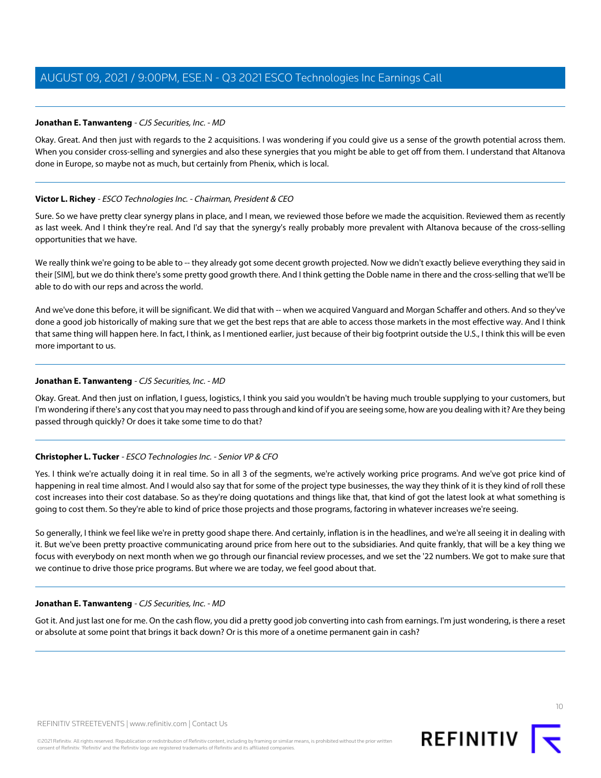### **Jonathan E. Tanwanteng** - CJS Securities, Inc. - MD

Okay. Great. And then just with regards to the 2 acquisitions. I was wondering if you could give us a sense of the growth potential across them. When you consider cross-selling and synergies and also these synergies that you might be able to get off from them. I understand that Altanova done in Europe, so maybe not as much, but certainly from Phenix, which is local.

### **Victor L. Richey** - ESCO Technologies Inc. - Chairman, President & CEO

Sure. So we have pretty clear synergy plans in place, and I mean, we reviewed those before we made the acquisition. Reviewed them as recently as last week. And I think they're real. And I'd say that the synergy's really probably more prevalent with Altanova because of the cross-selling opportunities that we have.

We really think we're going to be able to -- they already got some decent growth projected. Now we didn't exactly believe everything they said in their [SIM], but we do think there's some pretty good growth there. And I think getting the Doble name in there and the cross-selling that we'll be able to do with our reps and across the world.

And we've done this before, it will be significant. We did that with -- when we acquired Vanguard and Morgan Schaffer and others. And so they've done a good job historically of making sure that we get the best reps that are able to access those markets in the most effective way. And I think that same thing will happen here. In fact, I think, as I mentioned earlier, just because of their big footprint outside the U.S., I think this will be even more important to us.

### **Jonathan E. Tanwanteng** - CJS Securities, Inc. - MD

Okay. Great. And then just on inflation, I guess, logistics, I think you said you wouldn't be having much trouble supplying to your customers, but I'm wondering if there's any cost that you may need to pass through and kind of if you are seeing some, how are you dealing with it? Are they being passed through quickly? Or does it take some time to do that?

### **Christopher L. Tucker** - ESCO Technologies Inc. - Senior VP & CFO

Yes. I think we're actually doing it in real time. So in all 3 of the segments, we're actively working price programs. And we've got price kind of happening in real time almost. And I would also say that for some of the project type businesses, the way they think of it is they kind of roll these cost increases into their cost database. So as they're doing quotations and things like that, that kind of got the latest look at what something is going to cost them. So they're able to kind of price those projects and those programs, factoring in whatever increases we're seeing.

So generally, I think we feel like we're in pretty good shape there. And certainly, inflation is in the headlines, and we're all seeing it in dealing with it. But we've been pretty proactive communicating around price from here out to the subsidiaries. And quite frankly, that will be a key thing we focus with everybody on next month when we go through our financial review processes, and we set the '22 numbers. We got to make sure that we continue to drive those price programs. But where we are today, we feel good about that.

### **Jonathan E. Tanwanteng** - CJS Securities, Inc. - MD

Got it. And just last one for me. On the cash flow, you did a pretty good job converting into cash from earnings. I'm just wondering, is there a reset or absolute at some point that brings it back down? Or is this more of a onetime permanent gain in cash?

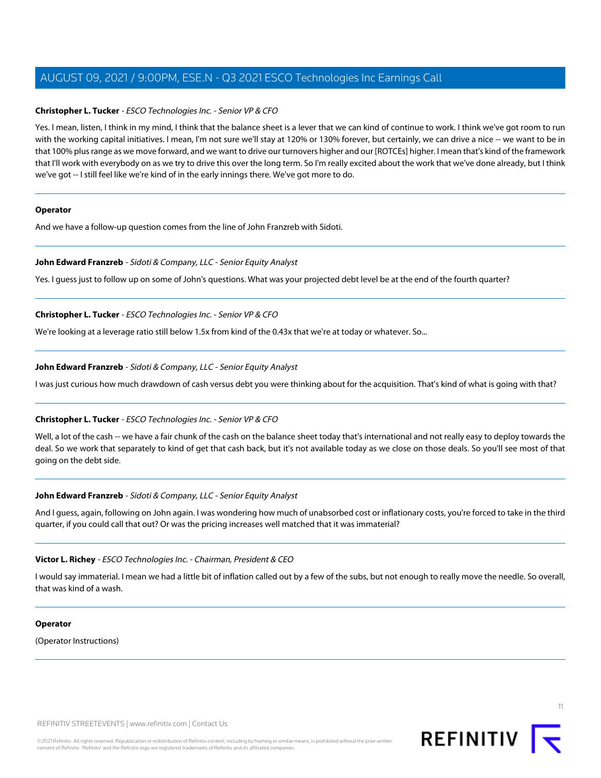### **Christopher L. Tucker** - ESCO Technologies Inc. - Senior VP & CFO

Yes. I mean, listen, I think in my mind, I think that the balance sheet is a lever that we can kind of continue to work. I think we've got room to run with the working capital initiatives. I mean, I'm not sure we'll stay at 120% or 130% forever, but certainly, we can drive a nice -- we want to be in that 100% plus range as we move forward, and we want to drive our turnovers higher and our [ROTCEs] higher. I mean that's kind of the framework that I'll work with everybody on as we try to drive this over the long term. So I'm really excited about the work that we've done already, but I think we've got -- I still feel like we're kind of in the early innings there. We've got more to do.

### **Operator**

And we have a follow-up question comes from the line of John Franzreb with Sidoti.

### **John Edward Franzreb** - Sidoti & Company, LLC - Senior Equity Analyst

Yes. I guess just to follow up on some of John's questions. What was your projected debt level be at the end of the fourth quarter?

### **Christopher L. Tucker** - ESCO Technologies Inc. - Senior VP & CFO

We're looking at a leverage ratio still below 1.5x from kind of the 0.43x that we're at today or whatever. So...

### **John Edward Franzreb** - Sidoti & Company, LLC - Senior Equity Analyst

I was just curious how much drawdown of cash versus debt you were thinking about for the acquisition. That's kind of what is going with that?

### **Christopher L. Tucker** - ESCO Technologies Inc. - Senior VP & CFO

Well, a lot of the cash -- we have a fair chunk of the cash on the balance sheet today that's international and not really easy to deploy towards the deal. So we work that separately to kind of get that cash back, but it's not available today as we close on those deals. So you'll see most of that going on the debt side.

### **John Edward Franzreb** - Sidoti & Company, LLC - Senior Equity Analyst

And I guess, again, following on John again. I was wondering how much of unabsorbed cost or inflationary costs, you're forced to take in the third quarter, if you could call that out? Or was the pricing increases well matched that it was immaterial?

### **Victor L. Richey** - ESCO Technologies Inc. - Chairman, President & CEO

I would say immaterial. I mean we had a little bit of inflation called out by a few of the subs, but not enough to really move the needle. So overall, that was kind of a wash.

### **Operator**

(Operator Instructions)